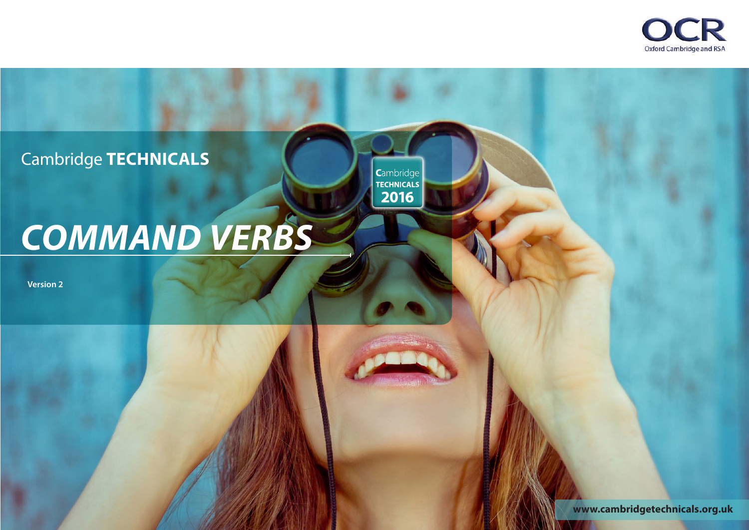

Cambridge **TECHNICALS**

Cambridge<br>
TECHNICALS<br>
2016

# *COMMAND VERBS*

**Version 2**

**<www.cambridgetechnicals.org.uk>**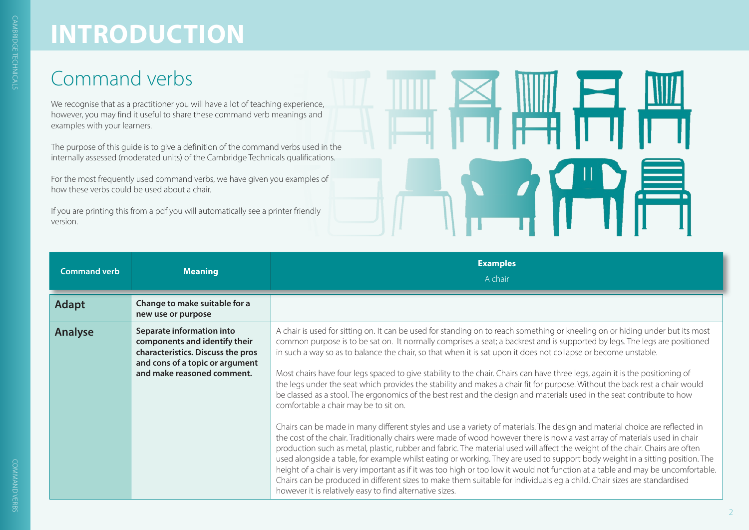#### Command verbs

We recognise that as a practitioner you will have a lot of teaching experience, however, you may find it useful to share these command verb meanings and examples with your learners.

The purpose of this guide is to give a definition of the command verbs used in the internally assessed (moderated units) of the Cambridge Technicals qualifications.

For the most frequently used command verbs, we have given you examples of how these verbs could be used about a chair.

If you are printing this from a pdf you will automatically see a printer friendly version.



| <b>Command verb</b> | <b>Meaning</b>                                                                                                                                                   | <b>Examples</b><br>A chair                                                                                                                                                                                                                                                                                                                                                                                                                                                                                                                                                                                                                                                                                                                                                                                                                                                                                                                                                                                                                                                                                                                                                                                                                                                                                                                                                                                                                                                                                                                                                                                                                                                |
|---------------------|------------------------------------------------------------------------------------------------------------------------------------------------------------------|---------------------------------------------------------------------------------------------------------------------------------------------------------------------------------------------------------------------------------------------------------------------------------------------------------------------------------------------------------------------------------------------------------------------------------------------------------------------------------------------------------------------------------------------------------------------------------------------------------------------------------------------------------------------------------------------------------------------------------------------------------------------------------------------------------------------------------------------------------------------------------------------------------------------------------------------------------------------------------------------------------------------------------------------------------------------------------------------------------------------------------------------------------------------------------------------------------------------------------------------------------------------------------------------------------------------------------------------------------------------------------------------------------------------------------------------------------------------------------------------------------------------------------------------------------------------------------------------------------------------------------------------------------------------------|
| <b>Adapt</b>        | Change to make suitable for a<br>new use or purpose                                                                                                              |                                                                                                                                                                                                                                                                                                                                                                                                                                                                                                                                                                                                                                                                                                                                                                                                                                                                                                                                                                                                                                                                                                                                                                                                                                                                                                                                                                                                                                                                                                                                                                                                                                                                           |
| <b>Analyse</b>      | Separate information into<br>components and identify their<br>characteristics. Discuss the pros<br>and cons of a topic or argument<br>and make reasoned comment. | A chair is used for sitting on. It can be used for standing on to reach something or kneeling on or hiding under but its most<br>common purpose is to be sat on. It normally comprises a seat; a backrest and is supported by legs. The legs are positioned<br>in such a way so as to balance the chair, so that when it is sat upon it does not collapse or become unstable.<br>Most chairs have four legs spaced to give stability to the chair. Chairs can have three legs, again it is the positioning of<br>the legs under the seat which provides the stability and makes a chair fit for purpose. Without the back rest a chair would<br>be classed as a stool. The ergonomics of the best rest and the design and materials used in the seat contribute to how<br>comfortable a chair may be to sit on.<br>Chairs can be made in many different styles and use a variety of materials. The design and material choice are reflected in<br>the cost of the chair. Traditionally chairs were made of wood however there is now a vast array of materials used in chair<br>production such as metal, plastic, rubber and fabric. The material used will affect the weight of the chair. Chairs are often<br>used alongside a table, for example whilst eating or working. They are used to support body weight in a sitting position. The<br>height of a chair is very important as if it was too high or too low it would not function at a table and may be uncomfortable.<br>Chairs can be produced in different sizes to make them suitable for individuals eg a child. Chair sizes are standardised<br>however it is relatively easy to find alternative sizes. |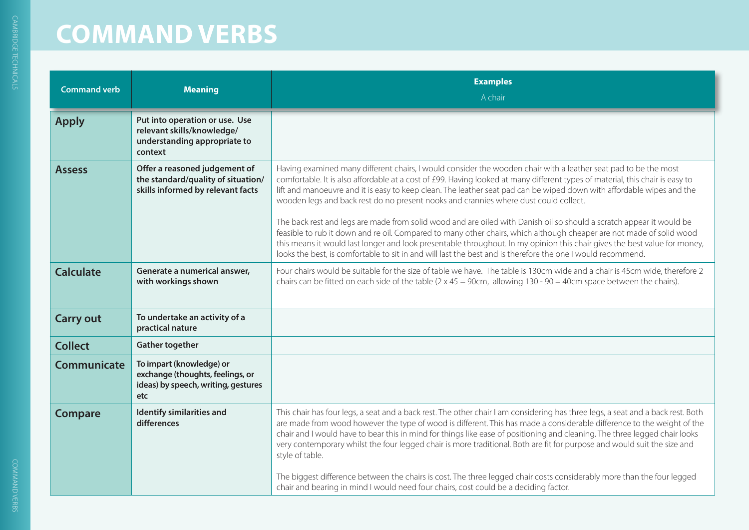| <b>Command verb</b> | <b>Meaning</b>                                                                                             | <b>Examples</b><br>A chair                                                                                                                                                                                                                                                                                                                                                                                                                                                                                                                                                                                                                                                                                                                                                                                                                                                                                                                                    |
|---------------------|------------------------------------------------------------------------------------------------------------|---------------------------------------------------------------------------------------------------------------------------------------------------------------------------------------------------------------------------------------------------------------------------------------------------------------------------------------------------------------------------------------------------------------------------------------------------------------------------------------------------------------------------------------------------------------------------------------------------------------------------------------------------------------------------------------------------------------------------------------------------------------------------------------------------------------------------------------------------------------------------------------------------------------------------------------------------------------|
| <b>Apply</b>        | Put into operation or use. Use<br>relevant skills/knowledge/<br>understanding appropriate to<br>context    |                                                                                                                                                                                                                                                                                                                                                                                                                                                                                                                                                                                                                                                                                                                                                                                                                                                                                                                                                               |
| <b>Assess</b>       | Offer a reasoned judgement of<br>the standard/quality of situation/<br>skills informed by relevant facts   | Having examined many different chairs, I would consider the wooden chair with a leather seat pad to be the most<br>comfortable. It is also affordable at a cost of £99. Having looked at many different types of material, this chair is easy to<br>lift and manoeuvre and it is easy to keep clean. The leather seat pad can be wiped down with affordable wipes and the<br>wooden legs and back rest do no present nooks and crannies where dust could collect.<br>The back rest and legs are made from solid wood and are oiled with Danish oil so should a scratch appear it would be<br>feasible to rub it down and re oil. Compared to many other chairs, which although cheaper are not made of solid wood<br>this means it would last longer and look presentable throughout. In my opinion this chair gives the best value for money,<br>looks the best, is comfortable to sit in and will last the best and is therefore the one I would recommend. |
| <b>Calculate</b>    | Generate a numerical answer,<br>with workings shown                                                        | Four chairs would be suitable for the size of table we have. The table is 130cm wide and a chair is 45cm wide, therefore 2<br>chairs can be fitted on each side of the table $(2 \times 45 = 90 \text{cm})$ , allowing $130 - 90 = 40 \text{cm}$ space between the chairs).                                                                                                                                                                                                                                                                                                                                                                                                                                                                                                                                                                                                                                                                                   |
| <b>Carry out</b>    | To undertake an activity of a<br>practical nature                                                          |                                                                                                                                                                                                                                                                                                                                                                                                                                                                                                                                                                                                                                                                                                                                                                                                                                                                                                                                                               |
| <b>Collect</b>      | <b>Gather together</b>                                                                                     |                                                                                                                                                                                                                                                                                                                                                                                                                                                                                                                                                                                                                                                                                                                                                                                                                                                                                                                                                               |
| Communicate         | To impart (knowledge) or<br>exchange (thoughts, feelings, or<br>ideas) by speech, writing, gestures<br>etc |                                                                                                                                                                                                                                                                                                                                                                                                                                                                                                                                                                                                                                                                                                                                                                                                                                                                                                                                                               |
| Compare             | Identify similarities and<br>differences                                                                   | This chair has four legs, a seat and a back rest. The other chair I am considering has three legs, a seat and a back rest. Both<br>are made from wood however the type of wood is different. This has made a considerable difference to the weight of the<br>chair and I would have to bear this in mind for things like ease of positioning and cleaning. The three legged chair looks<br>very contemporary whilst the four legged chair is more traditional. Both are fit for purpose and would suit the size and<br>style of table.<br>The biggest difference between the chairs is cost. The three legged chair costs considerably more than the four legged<br>chair and bearing in mind I would need four chairs, cost could be a deciding factor.                                                                                                                                                                                                      |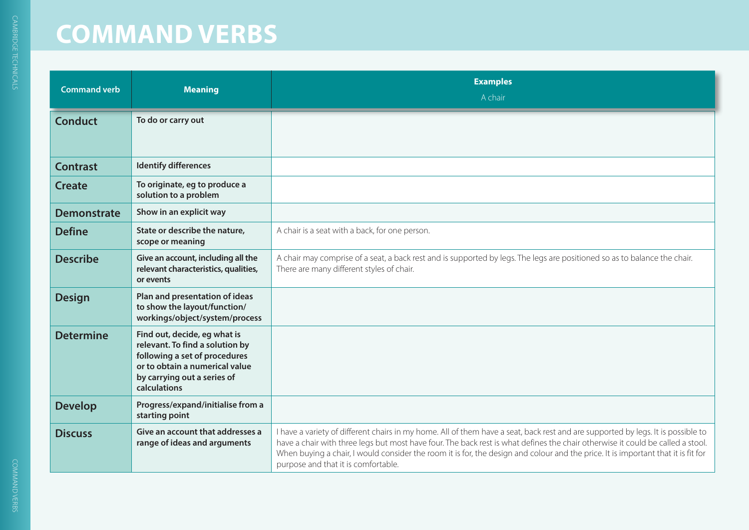| <b>Command verb</b> | <b>Meaning</b>                                                                                                                                                                    | <b>Examples</b><br>A chair                                                                                                                                                                                                                                                                                                                                                                                                                     |
|---------------------|-----------------------------------------------------------------------------------------------------------------------------------------------------------------------------------|------------------------------------------------------------------------------------------------------------------------------------------------------------------------------------------------------------------------------------------------------------------------------------------------------------------------------------------------------------------------------------------------------------------------------------------------|
| <b>Conduct</b>      | To do or carry out                                                                                                                                                                |                                                                                                                                                                                                                                                                                                                                                                                                                                                |
| <b>Contrast</b>     | <b>Identify differences</b>                                                                                                                                                       |                                                                                                                                                                                                                                                                                                                                                                                                                                                |
| <b>Create</b>       | To originate, eg to produce a<br>solution to a problem                                                                                                                            |                                                                                                                                                                                                                                                                                                                                                                                                                                                |
| <b>Demonstrate</b>  | Show in an explicit way                                                                                                                                                           |                                                                                                                                                                                                                                                                                                                                                                                                                                                |
| <b>Define</b>       | State or describe the nature,<br>scope or meaning                                                                                                                                 | A chair is a seat with a back, for one person.                                                                                                                                                                                                                                                                                                                                                                                                 |
| <b>Describe</b>     | Give an account, including all the<br>relevant characteristics, qualities,<br>or events                                                                                           | A chair may comprise of a seat, a back rest and is supported by legs. The legs are positioned so as to balance the chair.<br>There are many different styles of chair.                                                                                                                                                                                                                                                                         |
| <b>Design</b>       | Plan and presentation of ideas<br>to show the layout/function/<br>workings/object/system/process                                                                                  |                                                                                                                                                                                                                                                                                                                                                                                                                                                |
| <b>Determine</b>    | Find out, decide, eg what is<br>relevant. To find a solution by<br>following a set of procedures<br>or to obtain a numerical value<br>by carrying out a series of<br>calculations |                                                                                                                                                                                                                                                                                                                                                                                                                                                |
| <b>Develop</b>      | Progress/expand/initialise from a<br>starting point                                                                                                                               |                                                                                                                                                                                                                                                                                                                                                                                                                                                |
| <b>Discuss</b>      | Give an account that addresses a<br>range of ideas and arguments                                                                                                                  | I have a variety of different chairs in my home. All of them have a seat, back rest and are supported by legs. It is possible to<br>have a chair with three legs but most have four. The back rest is what defines the chair otherwise it could be called a stool.<br>When buying a chair, I would consider the room it is for, the design and colour and the price. It is important that it is fit for<br>purpose and that it is comfortable. |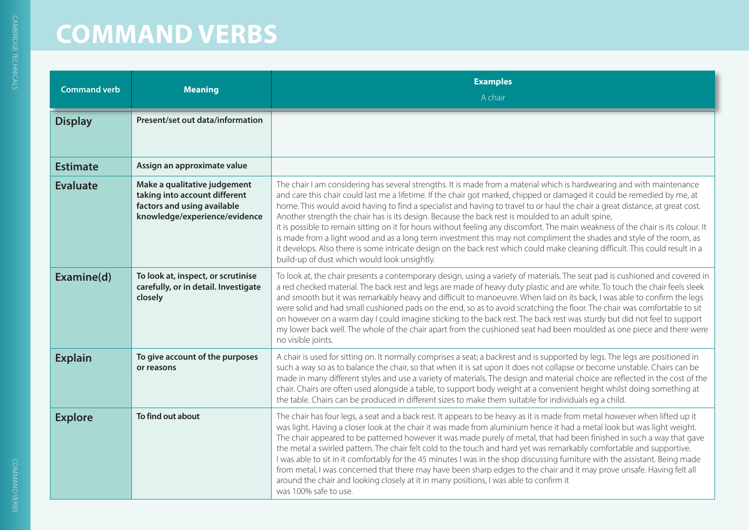| <b>Command verb</b> | <b>Meaning</b>                                                                                                                | <b>Examples</b><br>A chair                                                                                                                                                                                                                                                                                                                                                                                                                                                                                                                                                                                                                                                                                                                                                                                                                                                                                                             |
|---------------------|-------------------------------------------------------------------------------------------------------------------------------|----------------------------------------------------------------------------------------------------------------------------------------------------------------------------------------------------------------------------------------------------------------------------------------------------------------------------------------------------------------------------------------------------------------------------------------------------------------------------------------------------------------------------------------------------------------------------------------------------------------------------------------------------------------------------------------------------------------------------------------------------------------------------------------------------------------------------------------------------------------------------------------------------------------------------------------|
| <b>Display</b>      | Present/set out data/information                                                                                              |                                                                                                                                                                                                                                                                                                                                                                                                                                                                                                                                                                                                                                                                                                                                                                                                                                                                                                                                        |
| <b>Estimate</b>     | Assign an approximate value                                                                                                   |                                                                                                                                                                                                                                                                                                                                                                                                                                                                                                                                                                                                                                                                                                                                                                                                                                                                                                                                        |
| <b>Evaluate</b>     | Make a qualitative judgement<br>taking into account different<br>factors and using available<br>knowledge/experience/evidence | The chair I am considering has several strengths. It is made from a material which is hardwearing and with maintenance<br>and care this chair could last me a lifetime. If the chair got marked, chipped or damaged it could be remedied by me, at<br>home. This would avoid having to find a specialist and having to travel to or haul the chair a great distance, at great cost.<br>Another strength the chair has is its design. Because the back rest is moulded to an adult spine,<br>it is possible to remain sitting on it for hours without feeling any discomfort. The main weakness of the chair is its colour. It<br>is made from a light wood and as a long term investment this may not compliment the shades and style of the room, as<br>it develops. Also there is some intricate design on the back rest which could make cleaning difficult. This could result in a<br>build-up of dust which would look unsightly. |
| Examine(d)          | To look at, inspect, or scrutinise<br>carefully, or in detail. Investigate<br>closely                                         | To look at, the chair presents a contemporary design, using a variety of materials. The seat pad is cushioned and covered in<br>a red checked material. The back rest and legs are made of heavy duty plastic and are white. To touch the chair feels sleek<br>and smooth but it was remarkably heavy and difficult to manoeuvre. When laid on its back, I was able to confirm the legs<br>were solid and had small cushioned pads on the end, so as to avoid scratching the floor. The chair was comfortable to sit<br>on however on a warm day I could imagine sticking to the back rest. The back rest was sturdy but did not feel to support<br>my lower back well. The whole of the chair apart from the cushioned seat had been moulded as one piece and there were<br>no visible joints.                                                                                                                                        |
| <b>Explain</b>      | To give account of the purposes<br>or reasons                                                                                 | A chair is used for sitting on. It normally comprises a seat; a backrest and is supported by legs. The legs are positioned in<br>such a way so as to balance the chair, so that when it is sat upon it does not collapse or become unstable. Chairs can be<br>made in many different styles and use a variety of materials. The design and material choice are reflected in the cost of the<br>chair. Chairs are often used alongside a table, to support body weight at a convenient height whilst doing something at<br>the table. Chairs can be produced in different sizes to make them suitable for individuals eg a child.                                                                                                                                                                                                                                                                                                       |
| <b>Explore</b>      | To find out about                                                                                                             | The chair has four legs, a seat and a back rest. It appears to be heavy as it is made from metal however when lifted up it<br>was light. Having a closer look at the chair it was made from aluminium hence it had a metal look but was light weight.<br>The chair appeared to be patterned however it was made purely of metal, that had been finished in such a way that gave<br>the metal a swirled pattern. The chair felt cold to the touch and hard yet was remarkably comfortable and supportive.<br>I was able to sit in it comfortably for the 45 minutes I was in the shop discussing furniture with the assistant. Being made<br>from metal, I was concerned that there may have been sharp edges to the chair and it may prove unsafe. Having felt all<br>around the chair and looking closely at it in many positions, I was able to confirm it<br>was 100% safe to use.                                                  |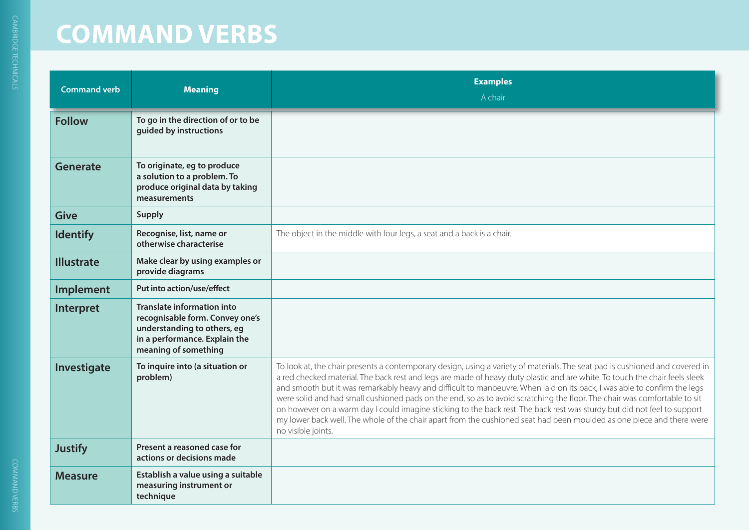| <b>Command verb</b> | <b>Meaning</b>                                                                                                                                               | <b>Examples</b><br>A chair                                                                                                                                                                                                                                                                                                                                                                                                                                                                                                                                                                                                                                                                                                                                                                      |
|---------------------|--------------------------------------------------------------------------------------------------------------------------------------------------------------|-------------------------------------------------------------------------------------------------------------------------------------------------------------------------------------------------------------------------------------------------------------------------------------------------------------------------------------------------------------------------------------------------------------------------------------------------------------------------------------------------------------------------------------------------------------------------------------------------------------------------------------------------------------------------------------------------------------------------------------------------------------------------------------------------|
| <b>Follow</b>       | To go in the direction of or to be<br>guided by instructions                                                                                                 |                                                                                                                                                                                                                                                                                                                                                                                                                                                                                                                                                                                                                                                                                                                                                                                                 |
| Generate            | To originate, eg to produce<br>a solution to a problem. To<br>produce original data by taking<br>measurements                                                |                                                                                                                                                                                                                                                                                                                                                                                                                                                                                                                                                                                                                                                                                                                                                                                                 |
| <b>Give</b>         | <b>Supply</b>                                                                                                                                                |                                                                                                                                                                                                                                                                                                                                                                                                                                                                                                                                                                                                                                                                                                                                                                                                 |
| <b>Identify</b>     | Recognise, list, name or<br>otherwise characterise                                                                                                           | The object in the middle with four legs, a seat and a back is a chair.                                                                                                                                                                                                                                                                                                                                                                                                                                                                                                                                                                                                                                                                                                                          |
| <b>Illustrate</b>   | Make clear by using examples or<br>provide diagrams                                                                                                          |                                                                                                                                                                                                                                                                                                                                                                                                                                                                                                                                                                                                                                                                                                                                                                                                 |
| Implement           | Put into action/use/effect                                                                                                                                   |                                                                                                                                                                                                                                                                                                                                                                                                                                                                                                                                                                                                                                                                                                                                                                                                 |
| Interpret           | <b>Translate information into</b><br>recognisable form. Convey one's<br>understanding to others, eg<br>in a performance. Explain the<br>meaning of something |                                                                                                                                                                                                                                                                                                                                                                                                                                                                                                                                                                                                                                                                                                                                                                                                 |
| Investigate         | To inquire into (a situation or<br>problem)                                                                                                                  | To look at, the chair presents a contemporary design, using a variety of materials. The seat pad is cushioned and covered in<br>a red checked material. The back rest and legs are made of heavy duty plastic and are white. To touch the chair feels sleek<br>and smooth but it was remarkably heavy and difficult to manoeuvre. When laid on its back, I was able to confirm the legs<br>were solid and had small cushioned pads on the end, so as to avoid scratching the floor. The chair was comfortable to sit<br>on however on a warm day I could imagine sticking to the back rest. The back rest was sturdy but did not feel to support<br>my lower back well. The whole of the chair apart from the cushioned seat had been moulded as one piece and there were<br>no visible joints. |
| <b>Justify</b>      | Present a reasoned case for<br>actions or decisions made                                                                                                     |                                                                                                                                                                                                                                                                                                                                                                                                                                                                                                                                                                                                                                                                                                                                                                                                 |
| <b>Measure</b>      | Establish a value using a suitable<br>measuring instrument or<br>technique                                                                                   |                                                                                                                                                                                                                                                                                                                                                                                                                                                                                                                                                                                                                                                                                                                                                                                                 |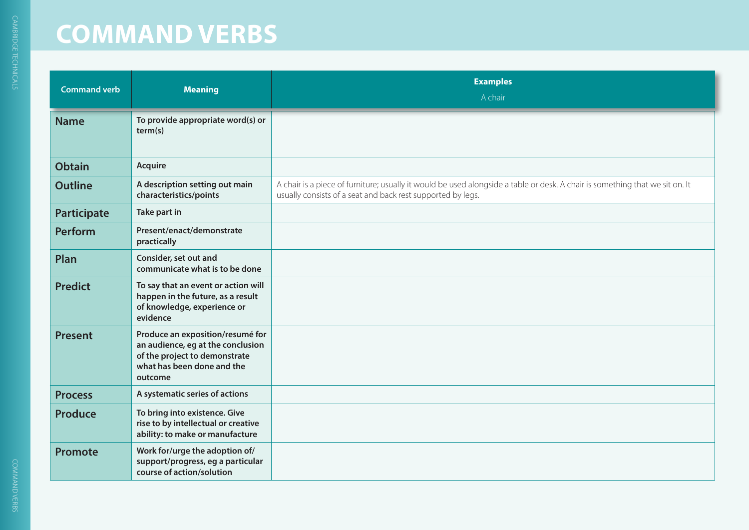| <b>Command verb</b> | <b>Meaning</b>                                                                                                                                  | <b>Examples</b><br>A chair                                                                                                                                                                  |
|---------------------|-------------------------------------------------------------------------------------------------------------------------------------------------|---------------------------------------------------------------------------------------------------------------------------------------------------------------------------------------------|
| <b>Name</b>         | To provide appropriate word(s) or<br>term(s)                                                                                                    |                                                                                                                                                                                             |
| <b>Obtain</b>       | Acquire                                                                                                                                         |                                                                                                                                                                                             |
| <b>Outline</b>      | A description setting out main<br>characteristics/points                                                                                        | A chair is a piece of furniture; usually it would be used alongside a table or desk. A chair is something that we sit on. It<br>usually consists of a seat and back rest supported by legs. |
| Participate         | Take part in                                                                                                                                    |                                                                                                                                                                                             |
| <b>Perform</b>      | Present/enact/demonstrate<br>practically                                                                                                        |                                                                                                                                                                                             |
| Plan                | Consider, set out and<br>communicate what is to be done                                                                                         |                                                                                                                                                                                             |
| <b>Predict</b>      | To say that an event or action will<br>happen in the future, as a result<br>of knowledge, experience or<br>evidence                             |                                                                                                                                                                                             |
| <b>Present</b>      | Produce an exposition/resumé for<br>an audience, eg at the conclusion<br>of the project to demonstrate<br>what has been done and the<br>outcome |                                                                                                                                                                                             |
| <b>Process</b>      | A systematic series of actions                                                                                                                  |                                                                                                                                                                                             |
| <b>Produce</b>      | To bring into existence. Give<br>rise to by intellectual or creative<br>ability: to make or manufacture                                         |                                                                                                                                                                                             |
| <b>Promote</b>      | Work for/urge the adoption of/<br>support/progress, eg a particular<br>course of action/solution                                                |                                                                                                                                                                                             |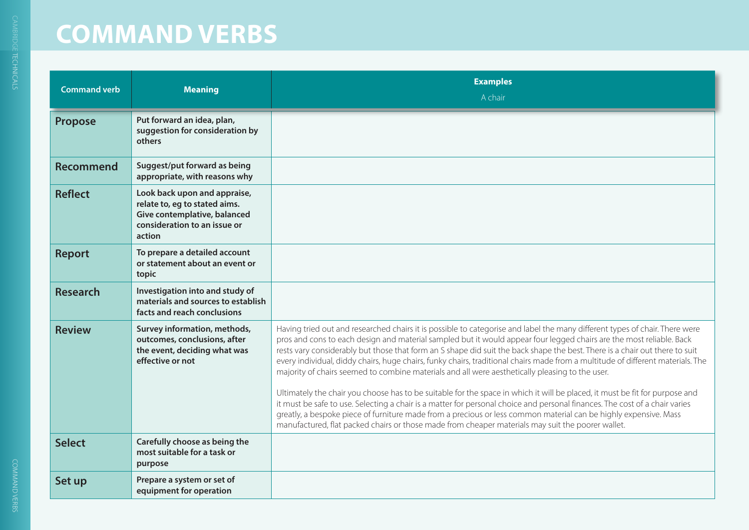| <b>Command verb</b> | <b>Meaning</b>                                                                                                                          | <b>Examples</b><br>A chair                                                                                                                                                                                                                                                                                                                                                                                                                                                                                                                                                                                                                                                                                                                                                                                                                                                                                                                                                                                                                                                                                      |
|---------------------|-----------------------------------------------------------------------------------------------------------------------------------------|-----------------------------------------------------------------------------------------------------------------------------------------------------------------------------------------------------------------------------------------------------------------------------------------------------------------------------------------------------------------------------------------------------------------------------------------------------------------------------------------------------------------------------------------------------------------------------------------------------------------------------------------------------------------------------------------------------------------------------------------------------------------------------------------------------------------------------------------------------------------------------------------------------------------------------------------------------------------------------------------------------------------------------------------------------------------------------------------------------------------|
| Propose             | Put forward an idea, plan,<br>suggestion for consideration by<br>others                                                                 |                                                                                                                                                                                                                                                                                                                                                                                                                                                                                                                                                                                                                                                                                                                                                                                                                                                                                                                                                                                                                                                                                                                 |
| <b>Recommend</b>    | Suggest/put forward as being<br>appropriate, with reasons why                                                                           |                                                                                                                                                                                                                                                                                                                                                                                                                                                                                                                                                                                                                                                                                                                                                                                                                                                                                                                                                                                                                                                                                                                 |
| <b>Reflect</b>      | Look back upon and appraise,<br>relate to, eg to stated aims.<br>Give contemplative, balanced<br>consideration to an issue or<br>action |                                                                                                                                                                                                                                                                                                                                                                                                                                                                                                                                                                                                                                                                                                                                                                                                                                                                                                                                                                                                                                                                                                                 |
| <b>Report</b>       | To prepare a detailed account<br>or statement about an event or<br>topic                                                                |                                                                                                                                                                                                                                                                                                                                                                                                                                                                                                                                                                                                                                                                                                                                                                                                                                                                                                                                                                                                                                                                                                                 |
| <b>Research</b>     | Investigation into and study of<br>materials and sources to establish<br>facts and reach conclusions                                    |                                                                                                                                                                                                                                                                                                                                                                                                                                                                                                                                                                                                                                                                                                                                                                                                                                                                                                                                                                                                                                                                                                                 |
| <b>Review</b>       | Survey information, methods,<br>outcomes, conclusions, after<br>the event, deciding what was<br>effective or not                        | Having tried out and researched chairs it is possible to categorise and label the many different types of chair. There were<br>pros and cons to each design and material sampled but it would appear four legged chairs are the most reliable. Back<br>rests vary considerably but those that form an S shape did suit the back shape the best. There is a chair out there to suit<br>every individual, diddy chairs, huge chairs, funky chairs, traditional chairs made from a multitude of different materials. The<br>majority of chairs seemed to combine materials and all were aesthetically pleasing to the user.<br>Ultimately the chair you choose has to be suitable for the space in which it will be placed, it must be fit for purpose and<br>it must be safe to use. Selecting a chair is a matter for personal choice and personal finances. The cost of a chair varies<br>greatly, a bespoke piece of furniture made from a precious or less common material can be highly expensive. Mass<br>manufactured, flat packed chairs or those made from cheaper materials may suit the poorer wallet. |
| <b>Select</b>       | Carefully choose as being the<br>most suitable for a task or<br>purpose                                                                 |                                                                                                                                                                                                                                                                                                                                                                                                                                                                                                                                                                                                                                                                                                                                                                                                                                                                                                                                                                                                                                                                                                                 |
| Set up              | Prepare a system or set of<br>equipment for operation                                                                                   |                                                                                                                                                                                                                                                                                                                                                                                                                                                                                                                                                                                                                                                                                                                                                                                                                                                                                                                                                                                                                                                                                                                 |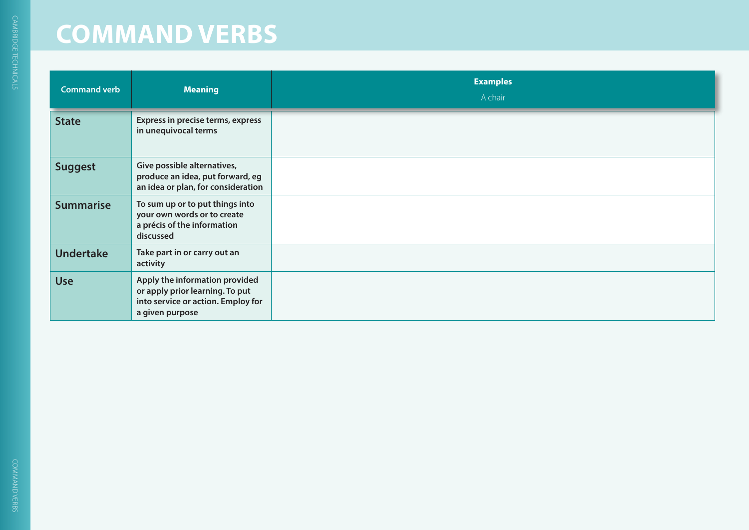| <b>Command verb</b> | <b>Meaning</b>                                                                                                             | <b>Examples</b><br>A chair |
|---------------------|----------------------------------------------------------------------------------------------------------------------------|----------------------------|
| <b>State</b>        | Express in precise terms, express<br>in unequivocal terms                                                                  |                            |
| <b>Suggest</b>      | Give possible alternatives,<br>produce an idea, put forward, eg<br>an idea or plan, for consideration                      |                            |
| <b>Summarise</b>    | To sum up or to put things into<br>your own words or to create<br>a précis of the information<br>discussed                 |                            |
| <b>Undertake</b>    | Take part in or carry out an<br>activity                                                                                   |                            |
| <b>Use</b>          | Apply the information provided<br>or apply prior learning. To put<br>into service or action. Employ for<br>a given purpose |                            |